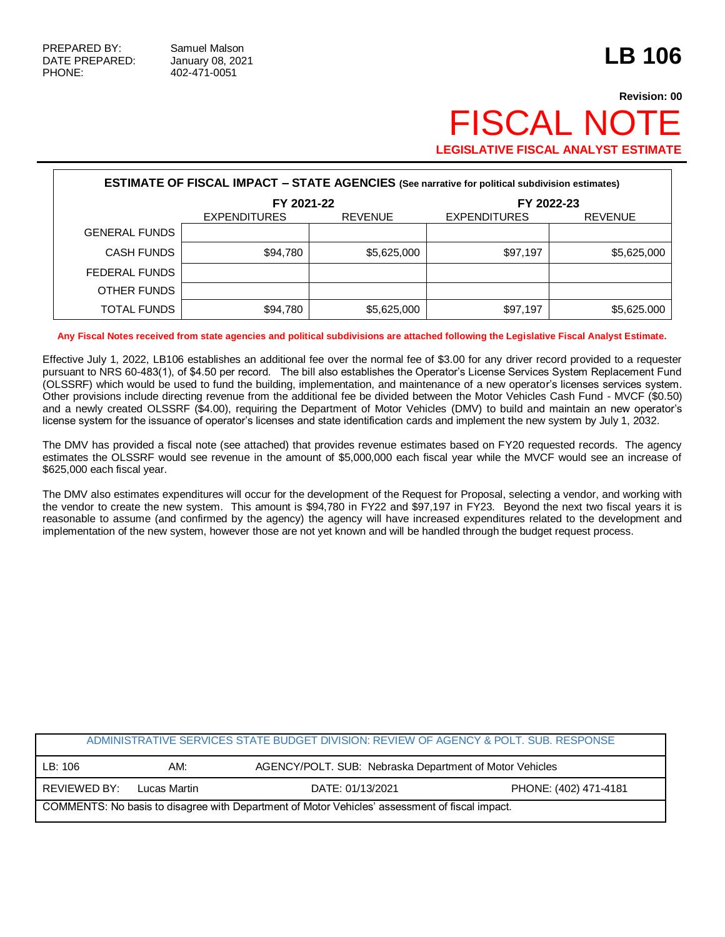## **Revision: 00 FISCAL NO LEGISLATIVE FISCAL ANALYST ESTIMATE**

| <b>ESTIMATE OF FISCAL IMPACT - STATE AGENCIES (See narrative for political subdivision estimates)</b> |                     |                |                     |                |  |  |
|-------------------------------------------------------------------------------------------------------|---------------------|----------------|---------------------|----------------|--|--|
|                                                                                                       | FY 2021-22          |                | FY 2022-23          |                |  |  |
|                                                                                                       | <b>EXPENDITURES</b> | <b>REVENUE</b> | <b>EXPENDITURES</b> | <b>REVENUE</b> |  |  |
| <b>GENERAL FUNDS</b>                                                                                  |                     |                |                     |                |  |  |
| <b>CASH FUNDS</b>                                                                                     | \$94,780            | \$5,625,000    | \$97,197            | \$5,625,000    |  |  |
| FEDERAL FUNDS                                                                                         |                     |                |                     |                |  |  |
| OTHER FUNDS                                                                                           |                     |                |                     |                |  |  |
| <b>TOTAL FUNDS</b>                                                                                    | \$94,780            | \$5,625,000    | \$97,197            | \$5,625.000    |  |  |

**Any Fiscal Notes received from state agencies and political subdivisions are attached following the Legislative Fiscal Analyst Estimate.**

Effective July 1, 2022, LB106 establishes an additional fee over the normal fee of \$3.00 for any driver record provided to a requester pursuant to NRS 60-483(1), of \$4.50 per record. The bill also establishes the Operator's License Services System Replacement Fund (OLSSRF) which would be used to fund the building, implementation, and maintenance of a new operator's licenses services system. Other provisions include directing revenue from the additional fee be divided between the Motor Vehicles Cash Fund - MVCF (\$0.50) and a newly created OLSSRF (\$4.00), requiring the Department of Motor Vehicles (DMV) to build and maintain an new operator's license system for the issuance of operator's licenses and state identification cards and implement the new system by July 1, 2032.

The DMV has provided a fiscal note (see attached) that provides revenue estimates based on FY20 requested records. The agency estimates the OLSSRF would see revenue in the amount of \$5,000,000 each fiscal year while the MVCF would see an increase of \$625,000 each fiscal year.

The DMV also estimates expenditures will occur for the development of the Request for Proposal, selecting a vendor, and working with the vendor to create the new system. This amount is \$94,780 in FY22 and \$97,197 in FY23. Beyond the next two fiscal years it is reasonable to assume (and confirmed by the agency) the agency will have increased expenditures related to the development and implementation of the new system, however those are not yet known and will be handled through the budget request process.

|                                                                                                |              | ADMINISTRATIVE SERVICES STATE BUDGET DIVISION: REVIEW OF AGENCY & POLT. SUB. RESPONSE |                       |  |
|------------------------------------------------------------------------------------------------|--------------|---------------------------------------------------------------------------------------|-----------------------|--|
| LB:106                                                                                         | AM:          | AGENCY/POLT. SUB: Nebraska Department of Motor Vehicles                               |                       |  |
| REVIEWED BY:                                                                                   | Lucas Martin | DATE: 01/13/2021                                                                      | PHONE: (402) 471-4181 |  |
| COMMENTS: No basis to disagree with Department of Motor Vehicles' assessment of fiscal impact. |              |                                                                                       |                       |  |